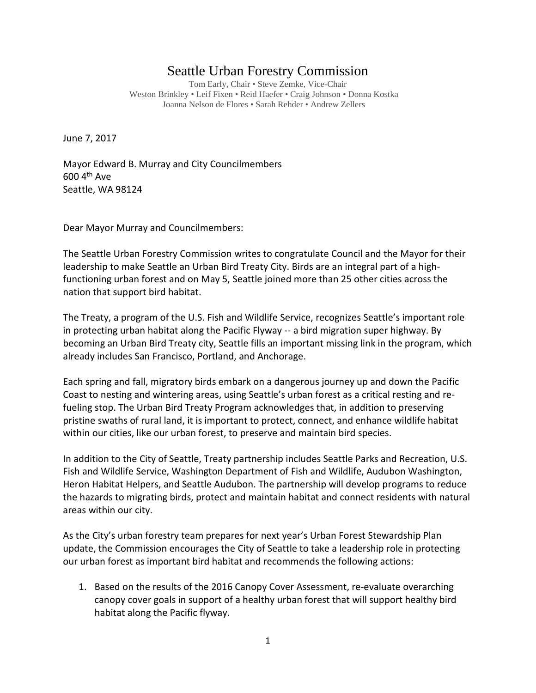## Seattle Urban Forestry Commission

Tom Early, Chair • Steve Zemke, Vice-Chair Weston Brinkley • Leif Fixen • Reid Haefer • Craig Johnson • Donna Kostka Joanna Nelson de Flores • Sarah Rehder • Andrew Zellers

June 7, 2017

Mayor Edward B. Murray and City Councilmembers 600 4th Ave Seattle, WA 98124

Dear Mayor Murray and Councilmembers:

The Seattle Urban Forestry Commission writes to congratulate Council and the Mayor for their leadership to make Seattle an Urban Bird Treaty City. Birds are an integral part of a highfunctioning urban forest and on May 5, Seattle joined more than 25 other cities across the nation that support bird habitat.

The Treaty, a program of the U.S. Fish and Wildlife Service, recognizes Seattle's important role in protecting urban habitat along the Pacific Flyway -- a bird migration super highway. By becoming an Urban Bird Treaty city, Seattle fills an important missing link in the program, which already includes San Francisco, Portland, and Anchorage.

Each spring and fall, migratory birds embark on a dangerous journey up and down the Pacific Coast to nesting and wintering areas, using Seattle's urban forest as a critical resting and refueling stop. The Urban Bird Treaty Program acknowledges that, in addition to preserving pristine swaths of rural land, it is important to protect, connect, and enhance wildlife habitat within our cities, like our urban forest, to preserve and maintain bird species.

In addition to the City of Seattle, Treaty partnership includes Seattle Parks and Recreation, U.S. Fish and Wildlife Service, Washington Department of Fish and Wildlife, Audubon Washington, Heron Habitat Helpers, and Seattle Audubon. The partnership will develop programs to reduce the hazards to migrating birds, protect and maintain habitat and connect residents with natural areas within our city.

As the City's urban forestry team prepares for next year's Urban Forest Stewardship Plan update, the Commission encourages the City of Seattle to take a leadership role in protecting our urban forest as important bird habitat and recommends the following actions:

1. Based on the results of the 2016 Canopy Cover Assessment, re-evaluate overarching canopy cover goals in support of a healthy urban forest that will support healthy bird habitat along the Pacific flyway.